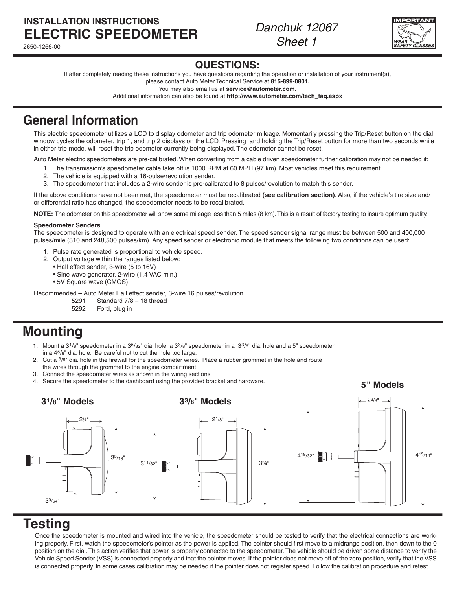### **INSTALLATION INSTRUCTIONS ELECTRIC SpeedoMETER**

2650-1266-00

*Danchuk 12067 Sheet 1*



### **QUESTIONS:**

If after completely reading these instructions you have questions regarding the operation or installation of your instrument(s),

please contact Auto Meter Technical Service at **815-899-0801.** You may also email us at **service@autometer.com.**

Additional information can also be found at **http://www.autometer.com/tech\_faq.aspx**

# **General Information**

This electric speedometer utilizes a LCD to display odometer and trip odometer mileage. Momentarily pressing the Trip/Reset button on the dial window cycles the odometer, trip 1, and trip 2 displays on the LCD. Pressing and holding the Trip/Reset button for more than two seconds while in either trip mode, will reset the trip odometer currently being displayed. The odometer cannot be reset.

Auto Meter electric speedometers are pre-calibrated. When converting from a cable driven speedometer further calibration may not be needed if:

- 1. The transmission's speedometer cable take off is 1000 RPM at 60 MPH (97 km). Most vehicles meet this requirement.
- 2. The vehicle is equipped with a 16-pulse/revolution sender.
- 3. The speedometer that includes a 2-wire sender is pre-calibrated to 8 pulses/revolution to match this sender.

If the above conditions have not been met, the speedometer must be recalibrated **(see calibration section)**. Also, if the vehicle's tire size and/ or differential ratio has changed, the speedometer needs to be recalibrated.

**NOTE:** The odometer on this speedometer will show some mileage less than 5 miles (8 km). This is a result of factory testing to insure optimum quality.

### **Speedometer Senders**

The speedometer is designed to operate with an electrical speed sender. The speed sender signal range must be between 500 and 400,000 pulses/mile (310 and 248,500 pulses/km). Any speed sender or electronic module that meets the following two conditions can be used:

- 1. Pulse rate generated is proportional to vehicle speed.
- 2. Output voltage within the ranges listed below:
	- Hall effect sender, 3-wire (5 to 16V)
	- Sine wave generator, 2-wire (1.4 VAC min.)
	- 5V Square wave (CMOS)

Recommended – Auto Meter Hall effect sender, 3-wire 16 pulses/revolution.

5291 Standard 7/8 – 18 thread

5292 Ford, plug in

# **Mounting**

- 1. Mount a  $3^{1}/s''$  speedometer in a  $3^{5}/32''$  dia. hole, a  $3^{3}/s''$  speedometer in a  $3^{3}/s''$  dia. hole and a 5" speedometer in a 45/8" dia. hole. Be careful not to cut the hole too large.
- 2. Cut a  $3/8$ " dia. hole in the firewall for the speedometer wires. Place a rubber grommet in the hole and route the wires through the grommet to the engine compartment.
- 3. Connect the speedometer wires as shown in the wiring sections.
- 4. Secure the speedometer to the dashboard using the provided bracket and hardware.



## **Testing**

Once the speedometer is mounted and wired into the vehicle, the speedometer should be tested to verify that the electrical connections are working properly. First, watch the speedometer's pointer as the power is applied. The pointer should first move to a midrange position, then down to the 0 position on the dial. This action verifies that power is properly connected to the speedometer. The vehicle should be driven some distance to verify the Vehicle Speed Sender (VSS) is connected properly and that the pointer moves. If the pointer does not move off of the zero position, verify that the VSS is connected properly. In some cases calibration may be needed if the pointer does not register speed. Follow the calibration procedure and retest.